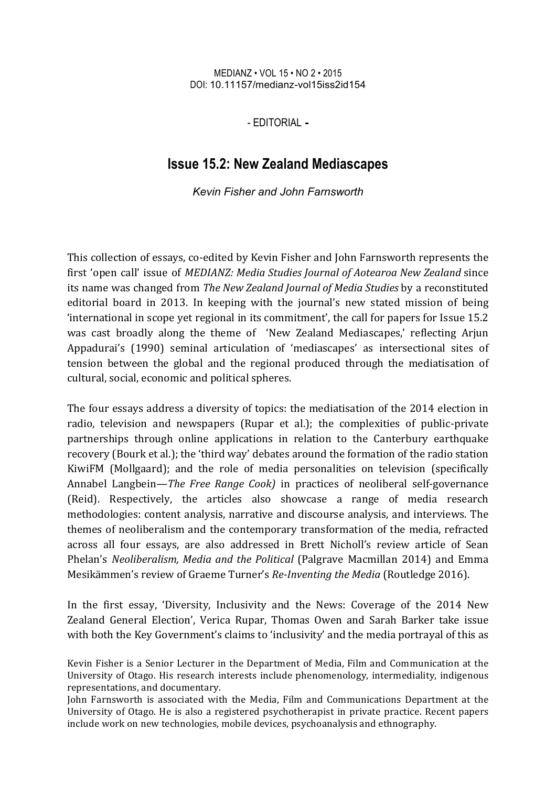## MEDIANZ • VOL 15 • NO 2 • 2015 DOI: 10.11157/medianz-vol15iss2id154

- EDITORIAL **-**

## **Issue 15.2: New Zealand Mediascapes**

*Kevin Fisher and John Farnsworth*

This collection of essays, co-edited by Kevin Fisher and John Farnsworth represents the first 'open call' issue of *MEDIANZ: Media Studies Journal of Aotearoa New Zealand* since its name was changed from *The New Zealand Journal of Media Studies* by a reconstituted editorial board in 2013. In keeping with the journal's new stated mission of being 'international in scope yet regional in its commitment', the call for papers for Issue  $15.2$ was cast broadly along the theme of 'New Zealand Mediascapes,' reflecting Arjun Appadurai's (1990) seminal articulation of 'mediascapes' as intersectional sites of tension between the global and the regional produced through the mediatisation of cultural, social, economic and political spheres.

The four essays address a diversity of topics: the mediatisation of the 2014 election in radio, television and newspapers (Rupar et al.); the complexities of public-private partnerships through online applications in relation to the Canterbury earthquake recovery (Bourk et al.); the 'third way' debates around the formation of the radio station KiwiFM (Mollgaard); and the role of media personalities on television (specifically Annabel Langbein—*The Free Range Cook*) in practices of neoliberal self-governance (Reid). Respectively, the articles also showcase a range of media research methodologies: content analysis, narrative and discourse analysis, and interviews. The themes of neoliberalism and the contemporary transformation of the media, refracted across all four essays, are also addressed in Brett Nicholl's review article of Sean Phelan's *Neoliberalism, Media and the Political* (Palgrave Macmillan 2014) and Emma Mesikämmen's review of Graeme Turner's *Re-Inventing the Media* (Routledge 2016).

In the first essay, 'Diversity, Inclusivity and the News: Coverage of the 2014 New Zealand General Election', Verica Rupar, Thomas Owen and Sarah Barker take issue with both the Key Government's claims to 'inclusivity' and the media portrayal of this as

Kevin Fisher is a Senior Lecturer in the Department of Media, Film and Communication at the University of Otago. His research interests include phenomenology, intermediality, indigenous representations, and documentary.

John Farnsworth is associated with the Media, Film and Communications Department at the University of Otago. He is also a registered psychotherapist in private practice. Recent papers include work on new technologies, mobile devices, psychoanalysis and ethnography.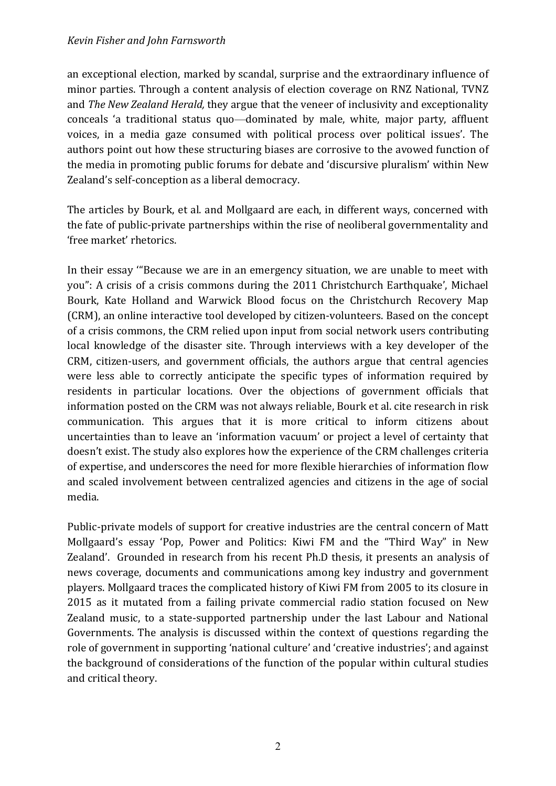an exceptional election, marked by scandal, surprise and the extraordinary influence of minor parties. Through a content analysis of election coverage on RNZ National, TVNZ and *The New Zealand Herald*, they argue that the veneer of inclusivity and exceptionality conceals 'a traditional status quo—dominated by male, white, major party, affluent voices, in a media gaze consumed with political process over political issues'. The authors point out how these structuring biases are corrosive to the avowed function of the media in promoting public forums for debate and 'discursive pluralism' within New Zealand's self-conception as a liberal democracy.

The articles by Bourk, et al. and Mollgaard are each, in different ways, concerned with the fate of public-private partnerships within the rise of neoliberal governmentality and 'free market' rhetorics.

In their essay "Because we are in an emergency situation, we are unable to meet with you": A crisis of a crisis commons during the 2011 Christchurch Earthquake', Michael Bourk, Kate Holland and Warwick Blood focus on the Christchurch Recovery Map (CRM), an online interactive tool developed by citizen-volunteers. Based on the concept of a crisis commons, the CRM relied upon input from social network users contributing local knowledge of the disaster site. Through interviews with a key developer of the CRM, citizen-users, and government officials, the authors argue that central agencies were less able to correctly anticipate the specific types of information required by residents in particular locations. Over the objections of government officials that information posted on the CRM was not always reliable, Bourk et al. cite research in risk communication. This argues that it is more critical to inform citizens about uncertainties than to leave an 'information vacuum' or project a level of certainty that doesn't exist. The study also explores how the experience of the CRM challenges criteria of expertise, and underscores the need for more flexible hierarchies of information flow and scaled involvement between centralized agencies and citizens in the age of social media. 

Public-private models of support for creative industries are the central concern of Matt Mollgaard's essay 'Pop, Power and Politics: Kiwi FM and the "Third Way" in New Zealand'. Grounded in research from his recent Ph.D thesis, it presents an analysis of news coverage, documents and communications among key industry and government players. Mollgaard traces the complicated history of Kiwi FM from 2005 to its closure in 2015 as it mutated from a failing private commercial radio station focused on New Zealand music, to a state-supported partnership under the last Labour and National Governments. The analysis is discussed within the context of questions regarding the role of government in supporting 'national culture' and 'creative industries'; and against the background of considerations of the function of the popular within cultural studies and critical theory.